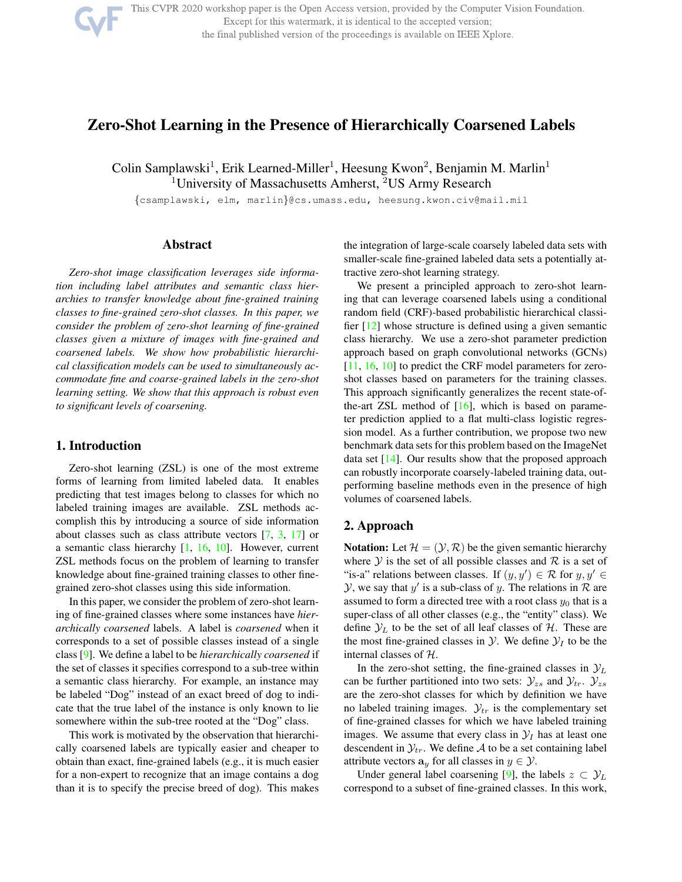

This CVPR 2020 workshop paper is the Open Access version, provided by the Computer Vision Foundation. Except for this watermark, it is identical to the accepted version;

the final published version of the proceedings is available on IEEE Xplore.

# Zero-Shot Learning in the Presence of Hierarchically Coarsened Labels

Colin Samplawski<sup>1</sup>, Erik Learned-Miller<sup>1</sup>, Heesung Kwon<sup>2</sup>, Benjamin M. Marlin<sup>1</sup> <sup>1</sup>University of Massachusetts Amherst, <sup>2</sup>US Army Research

{csamplawski, elm, marlin}@cs.umass.edu, heesung.kwon.civ@mail.mil

# Abstract

*Zero-shot image classification leverages side information including label attributes and semantic class hierarchies to transfer knowledge about fine-grained training classes to fine-grained zero-shot classes. In this paper, we consider the problem of zero-shot learning of fine-grained classes given a mixture of images with fine-grained and coarsened labels. We show how probabilistic hierarchical classification models can be used to simultaneously accommodate fine and coarse-grained labels in the zero-shot learning setting. We show that this approach is robust even to significant levels of coarsening.*

#### 1. Introduction

Zero-shot learning (ZSL) is one of the most extreme forms of learning from limited labeled data. It enables predicting that test images belong to classes for which no labeled training images are available. ZSL methods accomplish this by introducing a source of side information about classes such as class attribute vectors [7, 3, 17] or a semantic class hierarchy  $[1, 16, 10]$ . However, current ZSL methods focus on the problem of learning to transfer knowledge about fine-grained training classes to other finegrained zero-shot classes using this side information.

In this paper, we consider the problem of zero-shot learning of fine-grained classes where some instances have *hierarchically coarsened* labels. A label is *coarsened* when it corresponds to a set of possible classes instead of a single class [9]. We define a label to be *hierarchically coarsened* if the set of classes it specifies correspond to a sub-tree within a semantic class hierarchy. For example, an instance may be labeled "Dog" instead of an exact breed of dog to indicate that the true label of the instance is only known to lie somewhere within the sub-tree rooted at the "Dog" class.

This work is motivated by the observation that hierarchically coarsened labels are typically easier and cheaper to obtain than exact, fine-grained labels (e.g., it is much easier for a non-expert to recognize that an image contains a dog than it is to specify the precise breed of dog). This makes

the integration of large-scale coarsely labeled data sets with smaller-scale fine-grained labeled data sets a potentially attractive zero-shot learning strategy.

We present a principled approach to zero-shot learning that can leverage coarsened labels using a conditional random field (CRF)-based probabilistic hierarchical classifier [12] whose structure is defined using a given semantic class hierarchy. We use a zero-shot parameter prediction approach based on graph convolutional networks (GCNs) [11, 16, 10] to predict the CRF model parameters for zeroshot classes based on parameters for the training classes. This approach significantly generalizes the recent state-ofthe-art ZSL method of  $[16]$ , which is based on parameter prediction applied to a flat multi-class logistic regression model. As a further contribution, we propose two new benchmark data sets for this problem based on the ImageNet data set [14]. Our results show that the proposed approach can robustly incorporate coarsely-labeled training data, outperforming baseline methods even in the presence of high volumes of coarsened labels.

## 2. Approach

**Notation:** Let  $\mathcal{H} = (\mathcal{Y}, \mathcal{R})$  be the given semantic hierarchy where  $Y$  is the set of all possible classes and  $R$  is a set of "is-a" relations between classes. If  $(y, y') \in \mathcal{R}$  for  $y, y' \in \mathcal{R}$  $Y$ , we say that  $y'$  is a sub-class of y. The relations in  $R$  are assumed to form a directed tree with a root class  $y_0$  that is a super-class of all other classes (e.g., the "entity" class). We define  $\mathcal{Y}_L$  to be the set of all leaf classes of  $\mathcal{H}$ . These are the most fine-grained classes in  $\mathcal{Y}$ . We define  $\mathcal{Y}_I$  to be the internal classes of H.

In the zero-shot setting, the fine-grained classes in  $\mathcal{Y}_L$ can be further partitioned into two sets:  $\mathcal{Y}_{zs}$  and  $\mathcal{Y}_{tr}$ .  $\mathcal{Y}_{zs}$ are the zero-shot classes for which by definition we have no labeled training images.  $\mathcal{Y}_{tr}$  is the complementary set of fine-grained classes for which we have labeled training images. We assume that every class in  $\mathcal{Y}_I$  has at least one descendent in  $\mathcal{Y}_{tr}$ . We define A to be a set containing label attribute vectors  $\mathbf{a}_y$  for all classes in  $y \in \mathcal{Y}$ .

Under general label coarsening [9], the labels  $z \subset \mathcal{Y}_L$ correspond to a subset of fine-grained classes. In this work,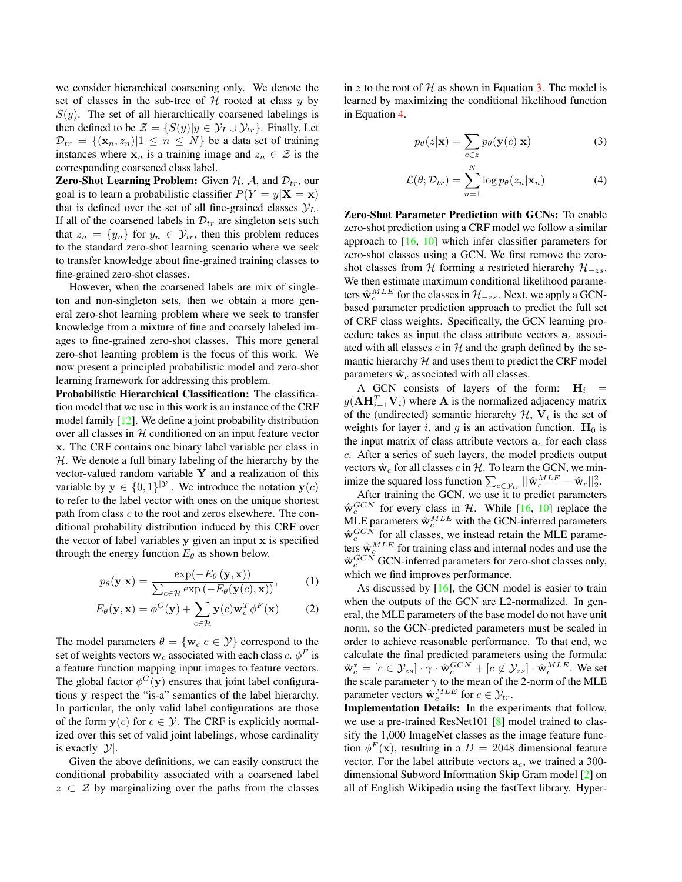we consider hierarchical coarsening only. We denote the set of classes in the sub-tree of  $H$  rooted at class  $y$  by  $S(y)$ . The set of all hierarchically coarsened labelings is then defined to be  $\mathcal{Z} = \{S(y)|y \in \mathcal{Y}_I \cup \mathcal{Y}_{tr}\}\.$  Finally, Let  $\mathcal{D}_{tr} = \{(\mathbf{x}_n, z_n) | 1 \leq n \leq N\}$  be a data set of training instances where  $x_n$  is a training image and  $z_n \in \mathcal{Z}$  is the corresponding coarsened class label.

**Zero-Shot Learning Problem:** Given  $H$ ,  $A$ , and  $\mathcal{D}_{tr}$ , our goal is to learn a probabilistic classifier  $P(Y = y|\mathbf{X} = \mathbf{x})$ that is defined over the set of all fine-grained classes  $\mathcal{Y}_L$ . If all of the coarsened labels in  $\mathcal{D}_{tr}$  are singleton sets such that  $z_n = \{y_n\}$  for  $y_n \in \mathcal{Y}_{tr}$ , then this problem reduces to the standard zero-shot learning scenario where we seek to transfer knowledge about fine-grained training classes to fine-grained zero-shot classes.

However, when the coarsened labels are mix of singleton and non-singleton sets, then we obtain a more general zero-shot learning problem where we seek to transfer knowledge from a mixture of fine and coarsely labeled images to fine-grained zero-shot classes. This more general zero-shot learning problem is the focus of this work. We now present a principled probabilistic model and zero-shot learning framework for addressing this problem.

Probabilistic Hierarchical Classification: The classification model that we use in this work is an instance of the CRF model family [12]. We define a joint probability distribution over all classes in  $H$  conditioned on an input feature vector x. The CRF contains one binary label variable per class in  $H$ . We denote a full binary labeling of the hierarchy by the vector-valued random variable Y and a realization of this variable by  $y \in \{0,1\}^{|\mathcal{Y}|}$ . We introduce the notation  $y(c)$ to refer to the label vector with ones on the unique shortest path from class c to the root and zeros elsewhere. The conditional probability distribution induced by this CRF over the vector of label variables  $v$  given an input  $x$  is specified through the energy function  $E_{\theta}$  as shown below.

$$
p_{\theta}(\mathbf{y}|\mathbf{x}) = \frac{\exp(-E_{\theta}(\mathbf{y}, \mathbf{x}))}{\sum_{c \in \mathcal{H}} \exp(-E_{\theta}(\mathbf{y}(c), \mathbf{x}))},
$$
 (1)

$$
E_{\theta}(\mathbf{y}, \mathbf{x}) = \phi^G(\mathbf{y}) + \sum_{c \in \mathcal{H}} \mathbf{y}(c) \mathbf{w}_c^T \phi^F(\mathbf{x})
$$
 (2)

The model parameters  $\theta = {\mathbf{w}_c | c \in \mathcal{Y}}$  correspond to the set of weights vectors  $\mathbf{w}_c$  associated with each class  $c$ .  $\phi^F$  is a feature function mapping input images to feature vectors. The global factor  $\phi^G(y)$  ensures that joint label configurations y respect the "is-a" semantics of the label hierarchy. In particular, the only valid label configurations are those of the form  $y(c)$  for  $c \in \mathcal{Y}$ . The CRF is explicitly normalized over this set of valid joint labelings, whose cardinality is exactly  $|\mathcal{Y}|$ .

Given the above definitions, we can easily construct the conditional probability associated with a coarsened label  $z \subset \mathcal{Z}$  by marginalizing over the paths from the classes in z to the root of  $H$  as shown in Equation 3. The model is learned by maximizing the conditional likelihood function in Equation 4.

$$
p_{\theta}(z|\mathbf{x}) = \sum_{c \in z} p_{\theta}(\mathbf{y}(c)|\mathbf{x})
$$
 (3)

$$
\mathcal{L}(\theta; \mathcal{D}_{tr}) = \sum_{n=1}^{N} \log p_{\theta}(z_n | \mathbf{x}_n)
$$
 (4)

Zero-Shot Parameter Prediction with GCNs: To enable zero-shot prediction using a CRF model we follow a similar approach to [16, 10] which infer classifier parameters for zero-shot classes using a GCN. We first remove the zeroshot classes from H forming a restricted hierarchy  $\mathcal{H}_{-zs}$ . We then estimate maximum conditional likelihood parameters  $\hat{\mathbf{w}}_c^{MLE}$  for the classes in  $\mathcal{H}_{-zs}$ . Next, we apply a GCNbased parameter prediction approach to predict the full set of CRF class weights. Specifically, the GCN learning procedure takes as input the class attribute vectors  $a<sub>c</sub>$  associated with all classes  $c$  in  $H$  and the graph defined by the semantic hierarchy  $H$  and uses them to predict the CRF model parameters  $\hat{w}_c$  associated with all classes.

A GCN consists of layers of the form:  $H_i$  =  $g(\mathbf{A}\mathbf{H}_{i-1}^T\mathbf{V}_i)$  where **A** is the normalized adjacency matrix of the (undirected) semantic hierarchy  $\mathcal{H}$ ,  $V_i$  is the set of weights for layer i, and g is an activation function.  $H_0$  is the input matrix of class attribute vectors  $a_c$  for each class c. After a series of such layers, the model predicts output vectors  $\hat{w}_c$  for all classes c in H. To learn the GCN, we minimize the squared loss function  $\sum_{c \in \mathcal{Y}_{tr}} ||\hat{\mathbf{w}}_c^{MLE} - \hat{\mathbf{w}}_c||_2^2$ .

After training the GCN, we use it to predict parameters  $\hat{w}_c^{GCN}$  for every class in H. While [16, 10] replace the MLE parameters  $\hat{\mathbf{w}}_c^{MLE}$  with the GCN-inferred parameters  $\hat{w}_c^{GCN}$  for all classes, we instead retain the MLE parameters  $\hat{w}_c^{MLE}$  for training class and internal nodes and use the  $\hat{\mathbf{w}}_c^{GCN}$  GCN-inferred parameters for zero-shot classes only, which we find improves performance.

As discussed by  $[16]$ , the GCN model is easier to train when the outputs of the GCN are L2-normalized. In general, the MLE parameters of the base model do not have unit norm, so the GCN-predicted parameters must be scaled in order to achieve reasonable performance. To that end, we calculate the final predicted parameters using the formula:  $\hat{\mathbf{w}}_c^* = [c \in \mathcal{Y}_{zs}] \cdot \gamma \cdot \hat{\mathbf{w}}_c^{GCN} + [c \notin \mathcal{Y}_{zs}] \cdot \hat{\mathbf{w}}_c^{MLE}$ . We set the scale parameter  $\gamma$  to the mean of the 2-norm of the MLE parameter vectors  $\hat{\mathbf{w}}_c^{MLE}$  for  $c \in \mathcal{Y}_{tr}$ .

Implementation Details: In the experiments that follow, we use a pre-trained ResNet101 [8] model trained to classify the 1,000 ImageNet classes as the image feature function  $\phi^F(\mathbf{x})$ , resulting in a  $D = 2048$  dimensional feature vector. For the label attribute vectors  $a_c$ , we trained a 300dimensional Subword Information Skip Gram model [2] on all of English Wikipedia using the fastText library. Hyper-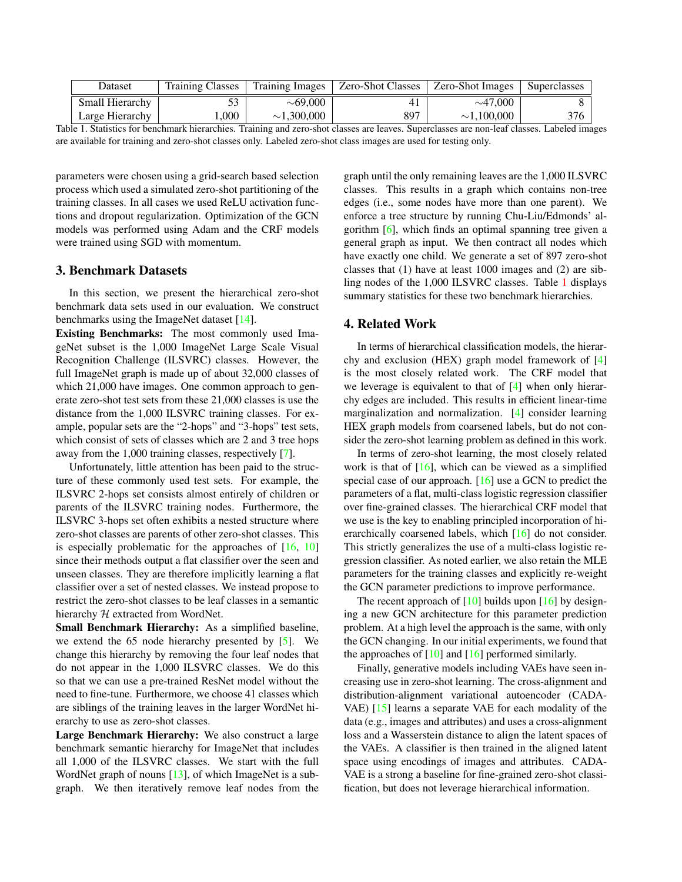| Dataset         | <b>Training Classes</b> | Training Images  | <b>Zero-Shot Classes</b> | <b>Zero-Shot Images</b> | Superclasses |
|-----------------|-------------------------|------------------|--------------------------|-------------------------|--------------|
| Small Hierarchy |                         | ${\sim}69.000$   |                          | $\sim$ 47,000           |              |
| Large Hierarchy | .000                    | $\sim$ 1,300,000 | 897                      | $\sim$ 1.100.000        | 376          |

Table 1. Statistics for benchmark hierarchies. Training and zero-shot classes are leaves. Superclasses are non-leaf classes. Labeled images are available for training and zero-shot classes only. Labeled zero-shot class images are used for testing only.

parameters were chosen using a grid-search based selection process which used a simulated zero-shot partitioning of the training classes. In all cases we used ReLU activation functions and dropout regularization. Optimization of the GCN models was performed using Adam and the CRF models were trained using SGD with momentum.

### 3. Benchmark Datasets

In this section, we present the hierarchical zero-shot benchmark data sets used in our evaluation. We construct benchmarks using the ImageNet dataset [14].

Existing Benchmarks: The most commonly used ImageNet subset is the 1,000 ImageNet Large Scale Visual Recognition Challenge (ILSVRC) classes. However, the full ImageNet graph is made up of about 32,000 classes of which 21,000 have images. One common approach to generate zero-shot test sets from these 21,000 classes is use the distance from the 1,000 ILSVRC training classes. For example, popular sets are the "2-hops" and "3-hops" test sets, which consist of sets of classes which are 2 and 3 tree hops away from the 1,000 training classes, respectively [7].

Unfortunately, little attention has been paid to the structure of these commonly used test sets. For example, the ILSVRC 2-hops set consists almost entirely of children or parents of the ILSVRC training nodes. Furthermore, the ILSVRC 3-hops set often exhibits a nested structure where zero-shot classes are parents of other zero-shot classes. This is especially problematic for the approaches of  $[16, 10]$ since their methods output a flat classifier over the seen and unseen classes. They are therefore implicitly learning a flat classifier over a set of nested classes. We instead propose to restrict the zero-shot classes to be leaf classes in a semantic hierarchy  $H$  extracted from WordNet.

Small Benchmark Hierarchy: As a simplified baseline, we extend the 65 node hierarchy presented by [5]. We change this hierarchy by removing the four leaf nodes that do not appear in the 1,000 ILSVRC classes. We do this so that we can use a pre-trained ResNet model without the need to fine-tune. Furthermore, we choose 41 classes which are siblings of the training leaves in the larger WordNet hierarchy to use as zero-shot classes.

Large Benchmark Hierarchy: We also construct a large benchmark semantic hierarchy for ImageNet that includes all 1,000 of the ILSVRC classes. We start with the full WordNet graph of nouns [13], of which ImageNet is a subgraph. We then iteratively remove leaf nodes from the graph until the only remaining leaves are the 1,000 ILSVRC classes. This results in a graph which contains non-tree edges (i.e., some nodes have more than one parent). We enforce a tree structure by running Chu-Liu/Edmonds' algorithm [6], which finds an optimal spanning tree given a general graph as input. We then contract all nodes which have exactly one child. We generate a set of 897 zero-shot classes that (1) have at least 1000 images and (2) are sibling nodes of the 1,000 ILSVRC classes. Table 1 displays summary statistics for these two benchmark hierarchies.

## 4. Related Work

In terms of hierarchical classification models, the hierarchy and exclusion (HEX) graph model framework of [4] is the most closely related work. The CRF model that we leverage is equivalent to that of [4] when only hierarchy edges are included. This results in efficient linear-time marginalization and normalization. [4] consider learning HEX graph models from coarsened labels, but do not consider the zero-shot learning problem as defined in this work.

In terms of zero-shot learning, the most closely related work is that of [16], which can be viewed as a simplified special case of our approach. [16] use a GCN to predict the parameters of a flat, multi-class logistic regression classifier over fine-grained classes. The hierarchical CRF model that we use is the key to enabling principled incorporation of hierarchically coarsened labels, which [16] do not consider. This strictly generalizes the use of a multi-class logistic regression classifier. As noted earlier, we also retain the MLE parameters for the training classes and explicitly re-weight the GCN parameter predictions to improve performance.

The recent approach of  $[10]$  builds upon  $[16]$  by designing a new GCN architecture for this parameter prediction problem. At a high level the approach is the same, with only the GCN changing. In our initial experiments, we found that the approaches of  $[10]$  and  $[16]$  performed similarly.

Finally, generative models including VAEs have seen increasing use in zero-shot learning. The cross-alignment and distribution-alignment variational autoencoder (CADA-VAE) [15] learns a separate VAE for each modality of the data (e.g., images and attributes) and uses a cross-alignment loss and a Wasserstein distance to align the latent spaces of the VAEs. A classifier is then trained in the aligned latent space using encodings of images and attributes. CADA-VAE is a strong a baseline for fine-grained zero-shot classification, but does not leverage hierarchical information.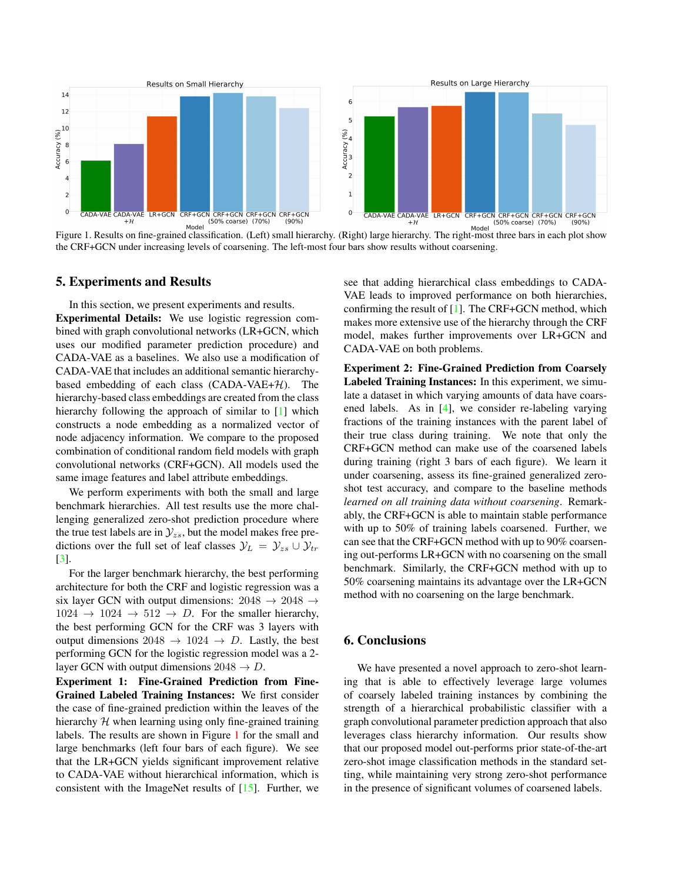

Figure 1. Results on fine-grained classification. (Left) small hierarchy. (Right) large hierarchy. The right-most three bars in each plot show the CRF+GCN under increasing levels of coarsening. The left-most four bars show results without coarsening.

#### 5. Experiments and Results

In this section, we present experiments and results. Experimental Details: We use logistic regression combined with graph convolutional networks (LR+GCN, which uses our modified parameter prediction procedure) and CADA-VAE as a baselines. We also use a modification of CADA-VAE that includes an additional semantic hierarchybased embedding of each class  $(CADA-VAE+H)$ . The hierarchy-based class embeddings are created from the class hierarchy following the approach of similar to [1] which constructs a node embedding as a normalized vector of node adjacency information. We compare to the proposed combination of conditional random field models with graph convolutional networks (CRF+GCN). All models used the same image features and label attribute embeddings.

We perform experiments with both the small and large benchmark hierarchies. All test results use the more challenging generalized zero-shot prediction procedure where the true test labels are in  $\mathcal{Y}_{zs}$ , but the model makes free predictions over the full set of leaf classes  $\mathcal{Y}_L = \mathcal{Y}_{zs} \cup \mathcal{Y}_{tr}$ [3].

For the larger benchmark hierarchy, the best performing architecture for both the CRF and logistic regression was a six layer GCN with output dimensions:  $2048 \rightarrow 2048 \rightarrow$  $1024 \rightarrow 1024 \rightarrow 512 \rightarrow D$ . For the smaller hierarchy, the best performing GCN for the CRF was 3 layers with output dimensions  $2048 \rightarrow 1024 \rightarrow D$ . Lastly, the best performing GCN for the logistic regression model was a 2 layer GCN with output dimensions  $2048 \rightarrow D$ .

Experiment 1: Fine-Grained Prediction from Fine-Grained Labeled Training Instances: We first consider the case of fine-grained prediction within the leaves of the hierarchy  $H$  when learning using only fine-grained training labels. The results are shown in Figure 1 for the small and large benchmarks (left four bars of each figure). We see that the LR+GCN yields significant improvement relative to CADA-VAE without hierarchical information, which is consistent with the ImageNet results of [15]. Further, we see that adding hierarchical class embeddings to CADA-VAE leads to improved performance on both hierarchies, confirming the result of [1]. The CRF+GCN method, which makes more extensive use of the hierarchy through the CRF model, makes further improvements over LR+GCN and CADA-VAE on both problems.

Experiment 2: Fine-Grained Prediction from Coarsely Labeled Training Instances: In this experiment, we simulate a dataset in which varying amounts of data have coarsened labels. As in [4], we consider re-labeling varying fractions of the training instances with the parent label of their true class during training. We note that only the CRF+GCN method can make use of the coarsened labels during training (right 3 bars of each figure). We learn it under coarsening, assess its fine-grained generalized zeroshot test accuracy, and compare to the baseline methods *learned on all training data without coarsening*. Remarkably, the CRF+GCN is able to maintain stable performance with up to 50% of training labels coarsened. Further, we can see that the CRF+GCN method with up to 90% coarsening out-performs LR+GCN with no coarsening on the small benchmark. Similarly, the CRF+GCN method with up to 50% coarsening maintains its advantage over the LR+GCN method with no coarsening on the large benchmark.

### 6. Conclusions

We have presented a novel approach to zero-shot learning that is able to effectively leverage large volumes of coarsely labeled training instances by combining the strength of a hierarchical probabilistic classifier with a graph convolutional parameter prediction approach that also leverages class hierarchy information. Our results show that our proposed model out-performs prior state-of-the-art zero-shot image classification methods in the standard setting, while maintaining very strong zero-shot performance in the presence of significant volumes of coarsened labels.